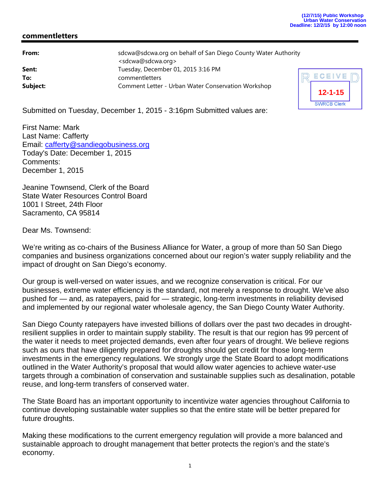## **commentletters**

| From:    | sdcwa@sdcwa.org on behalf of San Diego County Water Authority |   |
|----------|---------------------------------------------------------------|---|
|          | <sdcwa@sdcwa.org></sdcwa@sdcwa.org>                           |   |
| Sent:    | Tuesday, December 01, 2015 3:16 PM                            |   |
| To:      | commentletters                                                | F |
| Subject: | Comment Letter - Urban Water Conservation Workshop            |   |



Submitted on Tuesday, December 1, 2015 - 3:16pm Submitted values are:

First Name: Mark Last Name: Cafferty Email: cafferty@sandiegobusiness.org Today's Date: December 1, 2015 Comments: December 1, 2015

Jeanine Townsend, Clerk of the Board State Water Resources Control Board 1001 I Street, 24th Floor Sacramento, CA 95814

Dear Ms. Townsend:

We're writing as co-chairs of the Business Alliance for Water, a group of more than 50 San Diego companies and business organizations concerned about our region's water supply reliability and the impact of drought on San Diego's economy.

Our group is well-versed on water issues, and we recognize conservation is critical. For our businesses, extreme water efficiency is the standard, not merely a response to drought. We've also pushed for — and, as ratepayers, paid for — strategic, long-term investments in reliability devised and implemented by our regional water wholesale agency, the San Diego County Water Authority.

San Diego County ratepayers have invested billions of dollars over the past two decades in droughtresilient supplies in order to maintain supply stability. The result is that our region has 99 percent of the water it needs to meet projected demands, even after four years of drought. We believe regions such as ours that have diligently prepared for droughts should get credit for those long-term investments in the emergency regulations. We strongly urge the State Board to adopt modifications outlined in the Water Authority's proposal that would allow water agencies to achieve water-use targets through a combination of conservation and sustainable supplies such as desalination, potable reuse, and long-term transfers of conserved water.

The State Board has an important opportunity to incentivize water agencies throughout California to continue developing sustainable water supplies so that the entire state will be better prepared for future droughts.

Making these modifications to the current emergency regulation will provide a more balanced and sustainable approach to drought management that better protects the region's and the state's economy.